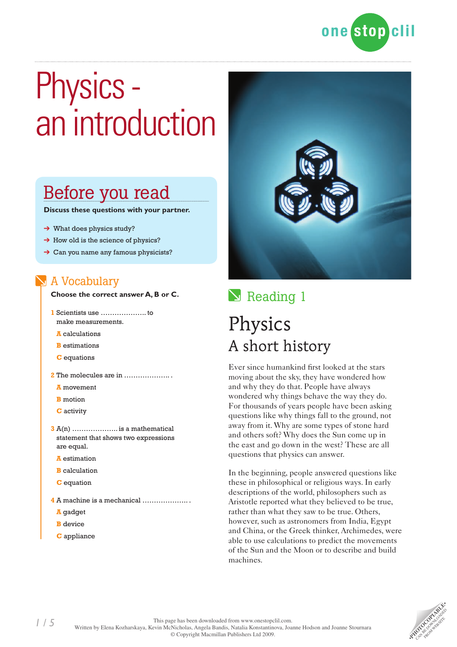

# Before you read

**Discuss these questions with your partner.**

- $\rightarrow$  What does physics study?
- $\rightarrow$  How old is the science of physics?
- $\rightarrow$  Can you name any famous physicists?

### A Vocabulary

**Choose the correct answer A, B or C.**

- **1** Scientists use ……………….. to make measurements.
	- **A** calculations
	- **B** estimations
	- **C** equations
- **2** The molecules are in ……………….. .
	- **A** movement
	- **B** motion
	- **C** activity
- **3** A(n) ……………….. is a mathematical statement that shows two expressions are equal.
	- **A** estimation
	- **B** calculation
	- **C** equation
- **4** A machine is a mechanical ……………….. .
	- **A** gadget
	- **B** device
	- **C** appliance



# **N** Reading 1 Physics A short history

Ever since humankind first looked at the stars moving about the sky, they have wondered how and why they do that. People have always wondered why things behave the way they do. For thousands of years people have been asking questions like why things fall to the ground, not away from it. Why are some types of stone hard and others soft? Why does the Sun come up in the east and go down in the west? These are all questions that physics can answer.

In the beginning, people answered questions like these in philosophical or religious ways. In early descriptions of the world, philosophers such as Aristotle reported what they believed to be true, rather than what they saw to be true. Others, however, such as astronomers from India, Egypt and China, or the Greek thinker, Archimedes, were able to use calculations to predict the movements of the Sun and the Moon or to describe and build machines.

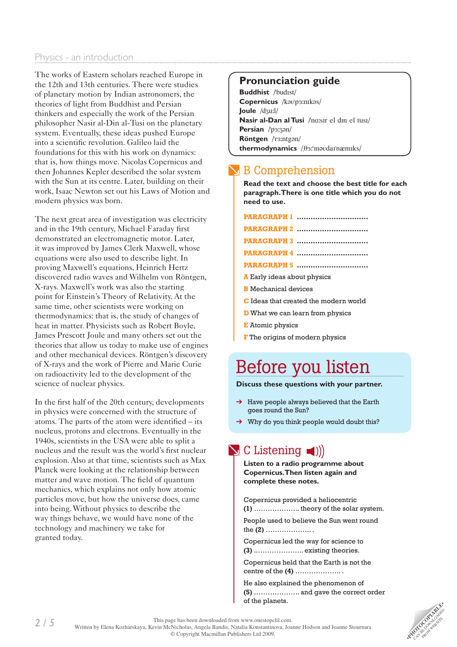The works of Eastern scholars reached Europe in the 12th and 13th centuries. There were studies of planetary motion by Indian astronomers, the theories of light from Buddhist and Persian thinkers and especially the work of the Persian philosopher Nasir al-Din al-Tusi on the planetary system. Eventually, these ideas pushed Europe into a scientific revolution. Galileo laid the foundations for this with his work on dynamics: that is, how things move. Nicolas Copernicus and then Johannes Kepler described the solar system with the Sun at its centre. Later, building on their work, Isaac Newton set out his Laws of Motion and modern physics was born.

The next great area of investigation was electricity and in the 19th century, Michael Faraday first demonstrated an electromagnetic motor. Later, it was improved by James Clerk Maxwell, whose equations were also used to describe light. In proving Maxwell's equations, Heinrich Hertz discovered radio waves and Wilhelm von Röntgen, X-rays. Maxwell's work was also the starting point for Einstein's Theory of Relativity. At the same time, other scientists were working on thermodynamics: that is, the study of changes of heat in matter. Physicists such as Robert Boyle, James Prescott Joule and many others set out the theories that allow us today to make use of engines and other mechanical devices. Röntgen's discovery of X-rays and the work of Pierre and Marie Curie on radioactivity led to the development of the science of nuclear physics.

In the first half of the 20th century, developments in physics were concerned with the structure of atoms. The parts of the atom were identified – its nucleus, protons and electrons. Eventually in the 1940s, scientists in the USA were able to split a nucleus and the result was the world's first nuclear explosion. Also at that time, scientists such as Max Planck were looking at the relationship between matter and wave motion. The field of quantum mechanics, which explains not only how atomic particles move, but how the universe does, came into being. Without physics to describe the way things behave, we would have none of the technology and machinery we take for granted today.

### **Pronunciation guide**

**Buddhist** /budIst/ **Copernicus** /kav'ps:nikas/ **Joule**  $\frac{d}{dx}$ …l/ Nasir al-Dan al Tusi /na:sir el din el tusi/ Persian /ps:zon/ **Röntgen** /r3:ntgan/ thermodynamics /,03<sup>r</sup>mavdar'næmiks/

### **S** B Comprehension

**Read the text and choose the best title for each paragraph. There is one title which you do not need to use.**

**PARAGRAPH 1 …………………………. PARAGRAPH 2 …………………………. PARAGRAPH 3 …………………………. PARAGRAPH 4 …………………………. PARAGRAPH 5 …………………………. A** Early ideas about physics **B** Mechanical devices **C** Ideas that created the modern world **D** What we can learn from physics

- **E** Atomic physics
- **F** The origins of modern physics

# Before you listen

**Discuss these questions with your partner.**

- $\rightarrow$  Have people always believed that the Earth goes round the Sun?
- Why do you think people would doubt this?

### **S** C Listening ()

**Listen to a radio programme about Copernicus. Then listen again and complete these notes.**

Copernicus provided a heliocentric **(1)** ……………….. theory of the solar system.

People used to believe the Sun went round the **(2)** ……………….. .

Copernicus led the way for science to **(3)** ..……………….. existing theories.

Copernicus held that the Earth is not the centre of the **(4)** ……………….. .

He also explained the phenomenon of **(5)** ……………….. and gave the correct order of the planets.

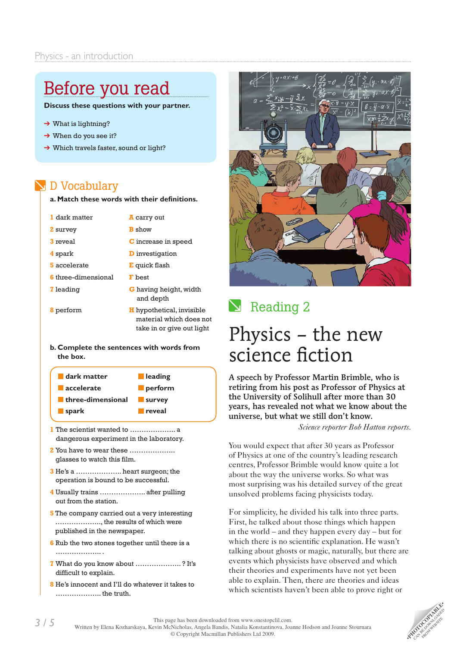# Before you read

**Discuss these questions with your partner.**

- $\rightarrow$  What is lightning?
- $\rightarrow$  When do you see it?
- → Which travels faster, sound or light?

### D Vocabulary

**a. Match these words with their definitions.**

- **1** dark matter **A** carry out
	-
- **2** survey **B** show
- **3** reveal **C** increase in speed
- **4** spark **D** investigation
- **5** accelerate **E** quick flash
- **6** three-dimensional **F** best
- 
- 
- **7** leading **G** having height, width
- 
- and depth **8** perform **H** hypothetical, invisible

material which does not

take in or give out light **b. Complete the sentences with words from the box.**



- **1** The scientist wanted to ……………….. a dangerous experiment in the laboratory.
- **2** You have to wear these ……………….. glasses to watch this film.
- **3** He's a ……………….. heart surgeon; the operation is bound to be successful.
- **4** Usually trains ……………….. after pulling out from the station.
- **5** The company carried out a very interesting ……………….., the results of which were published in the newspaper.
- **6** Rub the two stones together until there is a ……………………
- **7** What do you know about ……………….. ? It's difficult to explain.
- **8** He's innocent and I'll do whatever it takes to ……………….. the truth.



# **N** Reading 2

# Physics – the new science fiction

A speech by Professor Martin Brimble, who is retiring from his post as Professor of Physics at the University of Solihull after more than 30 years, has revealed not what we know about the universe, but what we still don't know.

*Science reporter Bob Hatton reports.*

You would expect that after 30 years as Professor of Physics at one of the country's leading research centres, Professor Brimble would know quite a lot about the way the universe works. So what was most surprising was his detailed survey of the great unsolved problems facing physicists today.

For simplicity, he divided his talk into three parts. First, he talked about those things which happen in the world – and they happen every day – but for which there is no scientific explanation. He wasn't talking about ghosts or magic, naturally, but there are events which physicists have observed and which their theories and experiments have not yet been able to explain. Then, there are theories and ideas which scientists haven't been able to prove right or

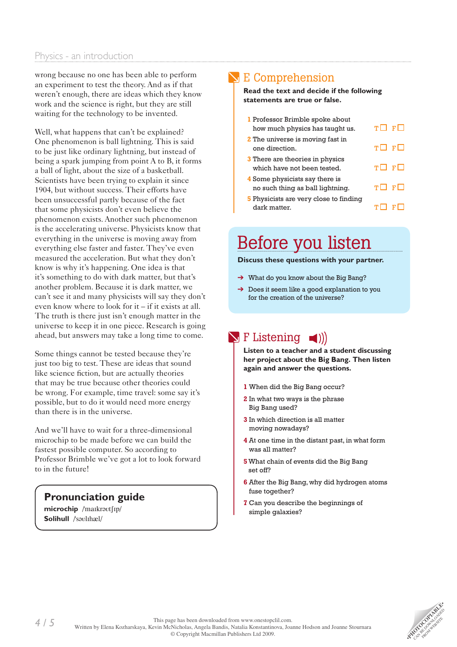wrong because no one has been able to perform an experiment to test the theory. And as if that weren't enough, there are ideas which they know work and the science is right, but they are still waiting for the technology to be invented.

Well, what happens that can't be explained? One phenomenon is ball lightning. This is said to be just like ordinary lightning, but instead of being a spark jumping from point A to B, it forms a ball of light, about the size of a basketball. Scientists have been trying to explain it since 1904, but without success. Their efforts have been unsuccessful partly because of the fact that some physicists don't even believe the phenomenon exists. Another such phenomenon is the accelerating universe. Physicists know that everything in the universe is moving away from everything else faster and faster. They've even measured the acceleration. But what they don't know is why it's happening. One idea is that it's something to do with dark matter, but that's another problem. Because it is dark matter, we can't see it and many physicists will say they don't even know where to look for it – if it exists at all. The truth is there just isn't enough matter in the universe to keep it in one piece. Research is going ahead, but answers may take a long time to come.

Some things cannot be tested because they're just too big to test. These are ideas that sound like science fiction, but are actually theories that may be true because other theories could be wrong. For example, time travel: some say it's possible, but to do it would need more energy than there is in the universe.

And we'll have to wait for a three-dimensional microchip to be made before we can build the fastest possible computer. So according to Professor Brimble we've got a lot to look forward to in the future!

### **Pronunciation guide**

**microchip** /maikravt[Ip/ Solihull /sovlthæl/

### E Comprehension

**Read the text and decide if the following statements are true or false.**

| <b>1</b> Professor Brimble spoke about<br>how much physics has taught us. | T⊓ ≇   |
|---------------------------------------------------------------------------|--------|
| 2 The universe is moving fast in<br>one direction.                        | T⊡ F∏  |
| <b>3</b> There are theories in physics<br>which have not been tested.     | T∏ FLI |
| 4 Some physicists say there is<br>no such thing as ball lightning.        | T∏ F∏  |
| 5 Physicists are very close to finding<br>dark matter.                    |        |

## Before you listen

**Discuss these questions with your partner.**

- ➔ What do you know about the Big Bang?
- $\rightarrow$  Does it seem like a good explanation to you for the creation of the universe?

### $\sum$  F Listening  $\Box$ )

**Listen to a teacher and a student discussing her project about the Big Bang. Then listen again and answer the questions.**

- **1** When did the Big Bang occur?
- **2** In what two ways is the phrase Big Bang used?
- **3** In which direction is all matter moving nowadays?
- **4** At one time in the distant past, in what form was all matter?
- **5** What chain of events did the Big Bang set off?
- **6** After the Big Bang, why did hydrogen atoms fuse together?
- **7** Can you describe the beginnings of simple galaxies?